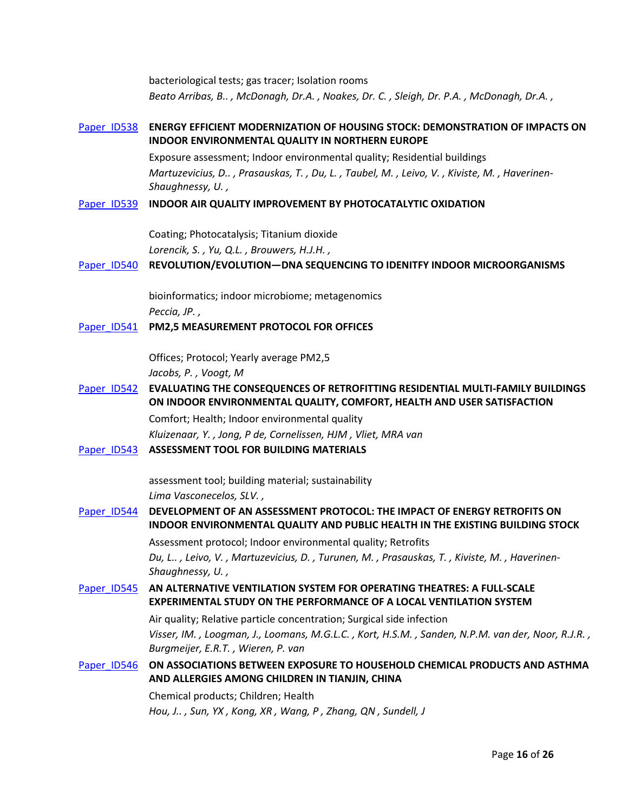bacteriological tests; gas tracer; Isolation rooms *Beato Arribas, B.. , McDonagh, Dr.A. , Noakes, Dr. C. , Sleigh, Dr. P.A. , McDonagh, Dr.A. ,* 

| Paper ID538 | <b>ENERGY EFFICIENT MODERNIZATION OF HOUSING STOCK: DEMONSTRATION OF IMPACTS ON</b><br><b>INDOOR ENVIRONMENTAL QUALITY IN NORTHERN EUROPE</b>             |
|-------------|-----------------------------------------------------------------------------------------------------------------------------------------------------------|
|             | Exposure assessment; Indoor environmental quality; Residential buildings                                                                                  |
|             | Martuzevicius, D, Prasauskas, T., Du, L., Taubel, M., Leivo, V., Kiviste, M., Haverinen-<br>Shaughnessy, U.,                                              |
| Paper ID539 | INDOOR AIR QUALITY IMPROVEMENT BY PHOTOCATALYTIC OXIDATION                                                                                                |
|             | Coating; Photocatalysis; Titanium dioxide                                                                                                                 |
|             | Lorencik, S., Yu, Q.L., Brouwers, H.J.H.,                                                                                                                 |
| Paper ID540 | REVOLUTION/EVOLUTION-DNA SEQUENCING TO IDENITFY INDOOR MICROORGANISMS                                                                                     |
|             | bioinformatics; indoor microbiome; metagenomics<br>Peccia, JP.,                                                                                           |
| Paper ID541 | PM2,5 MEASUREMENT PROTOCOL FOR OFFICES                                                                                                                    |
|             | Offices; Protocol; Yearly average PM2,5                                                                                                                   |
|             | Jacobs, P., Voogt, M                                                                                                                                      |
| Paper ID542 | EVALUATING THE CONSEQUENCES OF RETROFITTING RESIDENTIAL MULTI-FAMILY BUILDINGS<br>ON INDOOR ENVIRONMENTAL QUALITY, COMFORT, HEALTH AND USER SATISFACTION  |
|             | Comfort; Health; Indoor environmental quality                                                                                                             |
|             | Kluizenaar, Y., Jong, P de, Cornelissen, HJM, Vliet, MRA van                                                                                              |
| Paper ID543 | <b>ASSESSMENT TOOL FOR BUILDING MATERIALS</b>                                                                                                             |
|             | assessment tool; building material; sustainability                                                                                                        |
|             | Lima Vasconecelos, SLV.,                                                                                                                                  |
| Paper ID544 | DEVELOPMENT OF AN ASSESSMENT PROTOCOL: THE IMPACT OF ENERGY RETROFITS ON<br>INDOOR ENVIRONMENTAL QUALITY AND PUBLIC HEALTH IN THE EXISTING BUILDING STOCK |
|             | Assessment protocol; Indoor environmental quality; Retrofits                                                                                              |
|             | Du, L, Leivo, V., Martuzevicius, D., Turunen, M., Prasauskas, T., Kiviste, M., Haverinen-<br>Shaughnessy, U.,                                             |
| Paper ID545 | AN ALTERNATIVE VENTILATION SYSTEM FOR OPERATING THEATRES: A FULL-SCALE<br><b>EXPERIMENTAL STUDY ON THE PERFORMANCE OF A LOCAL VENTILATION SYSTEM</b>      |
|             | Air quality; Relative particle concentration; Surgical side infection                                                                                     |
|             | Visser, IM., Loogman, J., Loomans, M.G.L.C., Kort, H.S.M., Sanden, N.P.M. van der, Noor, R.J.R.,<br>Burgmeijer, E.R.T., Wieren, P. van                    |
| Paper ID546 | ON ASSOCIATIONS BETWEEN EXPOSURE TO HOUSEHOLD CHEMICAL PRODUCTS AND ASTHMA<br>AND ALLERGIES AMONG CHILDREN IN TIANJIN, CHINA                              |
|             | Chemical products; Children; Health                                                                                                                       |
|             | Hou, J, Sun, YX, Kong, XR, Wang, P, Zhang, QN, Sundell, J                                                                                                 |
|             |                                                                                                                                                           |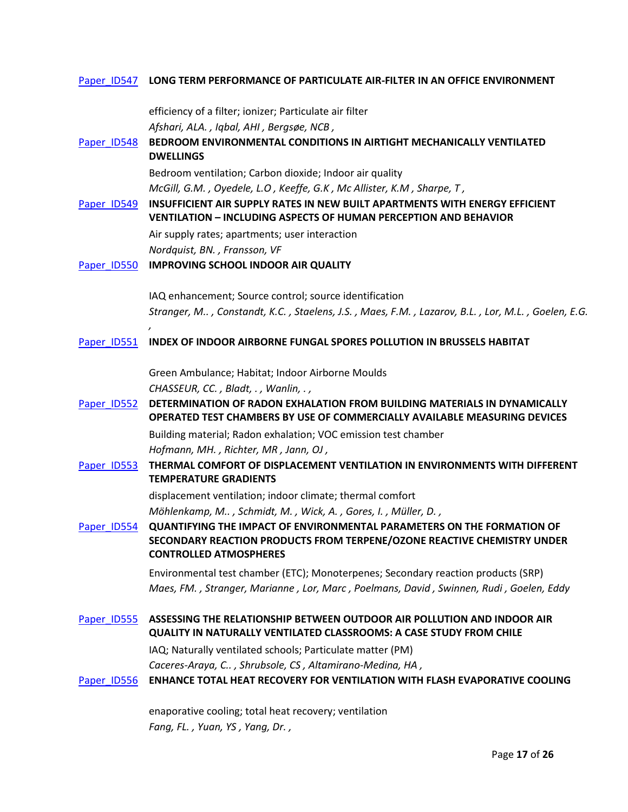**HEALTHY BUILDINGS** EUROPE 2015<br>18-20 May 2015 Eindhoven, The Netherlands

## Paper\_ID547 **LONG TERM PERFORMANCE OF PARTICULATE AIR-FILTER IN AN OFFICE ENVIRONMENT**

|             | efficiency of a filter; ionizer; Particulate air filter                                                                                                                                   |
|-------------|-------------------------------------------------------------------------------------------------------------------------------------------------------------------------------------------|
|             | Afshari, ALA., Iqbal, AHI, Bergsøe, NCB,                                                                                                                                                  |
| Paper ID548 | BEDROOM ENVIRONMENTAL CONDITIONS IN AIRTIGHT MECHANICALLY VENTILATED<br><b>DWELLINGS</b>                                                                                                  |
|             | Bedroom ventilation; Carbon dioxide; Indoor air quality                                                                                                                                   |
|             | McGill, G.M., Oyedele, L.O, Keeffe, G.K, Mc Allister, K.M, Sharpe, T,                                                                                                                     |
| Paper ID549 | <b>INSUFFICIENT AIR SUPPLY RATES IN NEW BUILT APARTMENTS WITH ENERGY EFFICIENT</b><br><b>VENTILATION - INCLUDING ASPECTS OF HUMAN PERCEPTION AND BEHAVIOR</b>                             |
|             | Air supply rates; apartments; user interaction                                                                                                                                            |
|             | Nordquist, BN., Fransson, VF                                                                                                                                                              |
| Paper ID550 | <b>IMPROVING SCHOOL INDOOR AIR QUALITY</b>                                                                                                                                                |
|             | IAQ enhancement; Source control; source identification                                                                                                                                    |
|             | Stranger, M, Constandt, K.C., Staelens, J.S., Maes, F.M., Lazarov, B.L., Lor, M.L., Goelen, E.G.                                                                                          |
| Paper ID551 | <b>INDEX OF INDOOR AIRBORNE FUNGAL SPORES POLLUTION IN BRUSSELS HABITAT</b>                                                                                                               |
|             | Green Ambulance; Habitat; Indoor Airborne Moulds                                                                                                                                          |
|             | CHASSEUR, CC., Bladt, ., Wanlin, .,                                                                                                                                                       |
| Paper ID552 | DETERMINATION OF RADON EXHALATION FROM BUILDING MATERIALS IN DYNAMICALLY<br><b>OPERATED TEST CHAMBERS BY USE OF COMMERCIALLY AVAILABLE MEASURING DEVICES</b>                              |
|             | Building material; Radon exhalation; VOC emission test chamber                                                                                                                            |
|             | Hofmann, MH., Richter, MR, Jann, OJ,                                                                                                                                                      |
| Paper ID553 | THERMAL COMFORT OF DISPLACEMENT VENTILATION IN ENVIRONMENTS WITH DIFFERENT<br><b>TEMPERATURE GRADIENTS</b>                                                                                |
|             | displacement ventilation; indoor climate; thermal comfort                                                                                                                                 |
|             | Möhlenkamp, M, Schmidt, M., Wick, A., Gores, I., Müller, D.,                                                                                                                              |
| Paper ID554 | <b>QUANTIFYING THE IMPACT OF ENVIRONMENTAL PARAMETERS ON THE FORMATION OF</b><br>SECONDARY REACTION PRODUCTS FROM TERPENE/OZONE REACTIVE CHEMISTRY UNDER<br><b>CONTROLLED ATMOSPHERES</b> |
|             | Environmental test chamber (ETC); Monoterpenes; Secondary reaction products (SRP)                                                                                                         |
|             | Maes, FM., Stranger, Marianne, Lor, Marc, Poelmans, David, Swinnen, Rudi, Goelen, Eddy                                                                                                    |
| Paper ID555 | ASSESSING THE RELATIONSHIP BETWEEN OUTDOOR AIR POLLUTION AND INDOOR AIR<br><b>QUALITY IN NATURALLY VENTILATED CLASSROOMS: A CASE STUDY FROM CHILE</b>                                     |
|             | IAQ; Naturally ventilated schools; Particulate matter (PM)                                                                                                                                |
|             | Caceres-Araya, C, Shrubsole, CS, Altamirano-Medina, HA,                                                                                                                                   |
| Paper ID556 | <b>ENHANCE TOTAL HEAT RECOVERY FOR VENTILATION WITH FLASH EVAPORATIVE COOLING</b>                                                                                                         |
|             | enaporative cooling; total heat recovery; ventilation                                                                                                                                     |

*Fang, FL. , Yuan, YS , Yang, Dr. ,*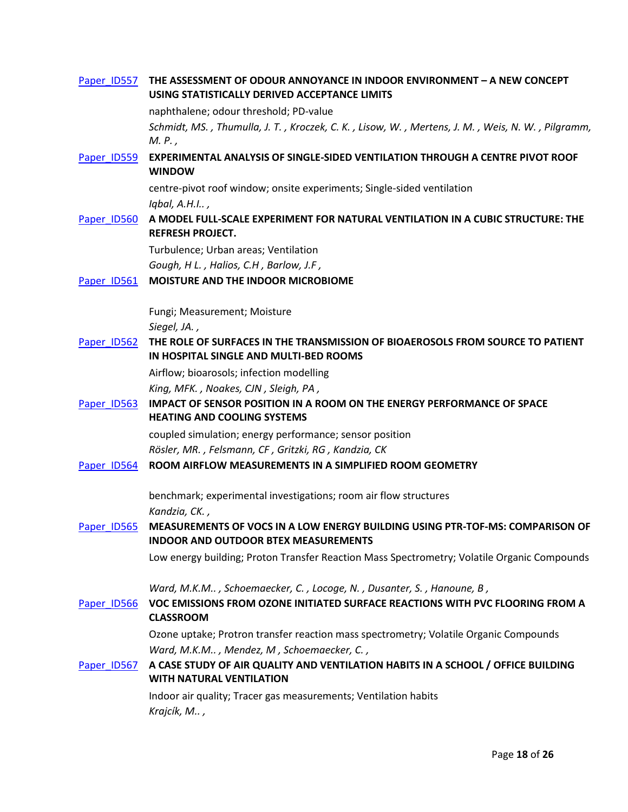**HEALTHY BUILDINGS** EUROPE 2015<br>18-20 May 2015 Eindhoven, The Netherlands

| Paper ID557 | THE ASSESSMENT OF ODOUR ANNOYANCE IN INDOOR ENVIRONMENT - A NEW CONCEPT<br>USING STATISTICALLY DERIVED ACCEPTANCE LIMITS     |
|-------------|------------------------------------------------------------------------------------------------------------------------------|
|             | naphthalene; odour threshold; PD-value                                                                                       |
|             | Schmidt, MS., Thumulla, J. T., Kroczek, C. K., Lisow, W., Mertens, J. M., Weis, N. W., Pilgramm,<br>M. P.,                   |
| Paper ID559 | <b>EXPERIMENTAL ANALYSIS OF SINGLE-SIDED VENTILATION THROUGH A CENTRE PIVOT ROOF</b><br><b>WINDOW</b>                        |
|             | centre-pivot roof window; onsite experiments; Single-sided ventilation<br>Iqbal, A.H.I,                                      |
| Paper ID560 | A MODEL FULL-SCALE EXPERIMENT FOR NATURAL VENTILATION IN A CUBIC STRUCTURE: THE<br><b>REFRESH PROJECT.</b>                   |
|             | Turbulence; Urban areas; Ventilation                                                                                         |
|             | Gough, H L., Halios, C.H, Barlow, J.F,                                                                                       |
| Paper ID561 | MOISTURE AND THE INDOOR MICROBIOME                                                                                           |
|             | Fungi; Measurement; Moisture<br>Siegel, JA.,                                                                                 |
| Paper ID562 | THE ROLE OF SURFACES IN THE TRANSMISSION OF BIOAEROSOLS FROM SOURCE TO PATIENT<br>IN HOSPITAL SINGLE AND MULTI-BED ROOMS     |
|             | Airflow; bioarosols; infection modelling                                                                                     |
|             | King, MFK., Noakes, CJN, Sleigh, PA,                                                                                         |
| Paper ID563 | <b>IMPACT OF SENSOR POSITION IN A ROOM ON THE ENERGY PERFORMANCE OF SPACE</b><br><b>HEATING AND COOLING SYSTEMS</b>          |
|             | coupled simulation; energy performance; sensor position                                                                      |
|             | Rösler, MR., Felsmann, CF, Gritzki, RG, Kandzia, CK                                                                          |
| Paper ID564 | ROOM AIRFLOW MEASUREMENTS IN A SIMPLIFIED ROOM GEOMETRY                                                                      |
|             | benchmark; experimental investigations; room air flow structures<br>Kandzia, CK.,                                            |
| Paper ID565 | MEASUREMENTS OF VOCS IN A LOW ENERGY BUILDING USING PTR-TOF-MS: COMPARISON OF<br><b>INDOOR AND OUTDOOR BTEX MEASUREMENTS</b> |
|             | Low energy building; Proton Transfer Reaction Mass Spectrometry; Volatile Organic Compounds                                  |
|             | Ward, M.K.M, Schoemaecker, C., Locoge, N., Dusanter, S., Hanoune, B,                                                         |
| Paper ID566 | VOC EMISSIONS FROM OZONE INITIATED SURFACE REACTIONS WITH PVC FLOORING FROM A<br><b>CLASSROOM</b>                            |
|             | Ozone uptake; Protron transfer reaction mass spectrometry; Volatile Organic Compounds                                        |
|             | Ward, M.K.M, Mendez, M, Schoemaecker, C.,                                                                                    |
| Paper ID567 | A CASE STUDY OF AIR QUALITY AND VENTILATION HABITS IN A SCHOOL / OFFICE BUILDING<br><b>WITH NATURAL VENTILATION</b>          |
|             | Indoor air quality; Tracer gas measurements; Ventilation habits<br>Krajcík, M,                                               |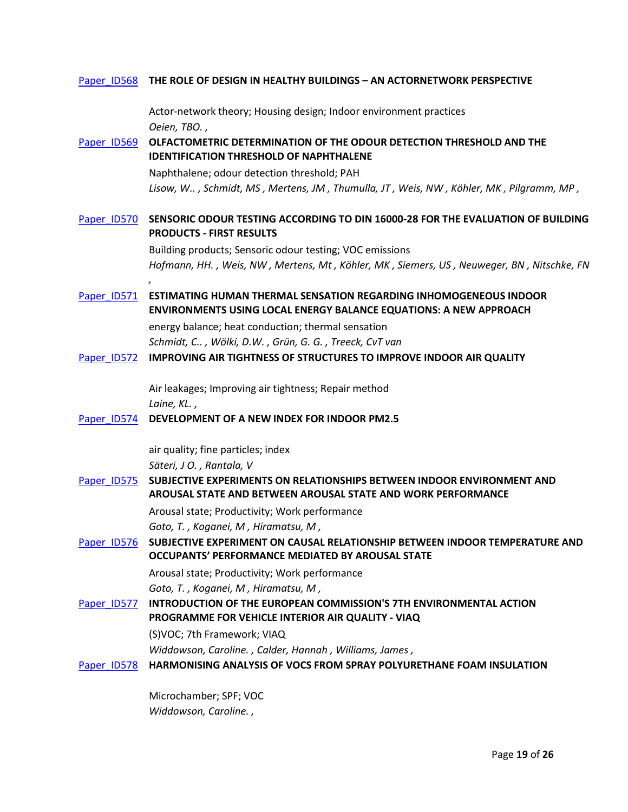

## Paper\_ID568 **THE ROLE OF DESIGN IN HEALTHY BUILDINGS – AN ACTORNETWORK PERSPECTIVE**

|             | Actor-network theory; Housing design; Indoor environment practices<br>Oeien, TBO.,                                                                   |
|-------------|------------------------------------------------------------------------------------------------------------------------------------------------------|
| Paper ID569 | OLFACTOMETRIC DETERMINATION OF THE ODOUR DETECTION THRESHOLD AND THE<br><b>IDENTIFICATION THRESHOLD OF NAPHTHALENE</b>                               |
|             | Naphthalene; odour detection threshold; PAH                                                                                                          |
|             | Lisow, W, Schmidt, MS, Mertens, JM, Thumulla, JT, Weis, NW, Köhler, MK, Pilgramm, MP,                                                                |
| Paper ID570 | SENSORIC ODOUR TESTING ACCORDING TO DIN 16000-28 FOR THE EVALUATION OF BUILDING<br><b>PRODUCTS - FIRST RESULTS</b>                                   |
|             | Building products; Sensoric odour testing; VOC emissions                                                                                             |
|             | Hofmann, HH., Weis, NW, Mertens, Mt, Köhler, MK, Siemers, US, Neuweger, BN, Nitschke, FN                                                             |
| Paper ID571 | <b>ESTIMATING HUMAN THERMAL SENSATION REGARDING INHOMOGENEOUS INDOOR</b><br><b>ENVIRONMENTS USING LOCAL ENERGY BALANCE EQUATIONS: A NEW APPROACH</b> |
|             | energy balance; heat conduction; thermal sensation                                                                                                   |
|             | Schmidt, C, Wölki, D.W., Grün, G. G., Treeck, CvT van                                                                                                |
| Paper ID572 | <b>IMPROVING AIR TIGHTNESS OF STRUCTURES TO IMPROVE INDOOR AIR QUALITY</b>                                                                           |
|             | Air leakages; Improving air tightness; Repair method                                                                                                 |
|             | Laine, KL.,                                                                                                                                          |
| Paper ID574 | DEVELOPMENT OF A NEW INDEX FOR INDOOR PM2.5                                                                                                          |
|             | air quality; fine particles; index                                                                                                                   |
|             | Säteri, J O., Rantala, V                                                                                                                             |
| Paper ID575 | SUBJECTIVE EXPERIMENTS ON RELATIONSHIPS BETWEEN INDOOR ENVIRONMENT AND<br>AROUSAL STATE AND BETWEEN AROUSAL STATE AND WORK PERFORMANCE               |
|             | Arousal state; Productivity; Work performance                                                                                                        |
|             | Goto, T., Koganei, M, Hiramatsu, M,                                                                                                                  |
| Paper ID576 | SUBJECTIVE EXPERIMENT ON CAUSAL RELATIONSHIP BETWEEN INDOOR TEMPERATURE AND<br>OCCUPANTS' PERFORMANCE MEDIATED BY AROUSAL STATE                      |
|             | Arousal state; Productivity; Work performance                                                                                                        |
|             | Goto, T., Koganei, M, Hiramatsu, M,                                                                                                                  |
| Paper ID577 | INTRODUCTION OF THE EUROPEAN COMMISSION'S 7TH ENVIRONMENTAL ACTION<br>PROGRAMME FOR VEHICLE INTERIOR AIR QUALITY - VIAQ                              |
|             | (S)VOC; 7th Framework; VIAQ                                                                                                                          |
|             | Widdowson, Caroline., Calder, Hannah, Williams, James,                                                                                               |
| Paper ID578 | HARMONISING ANALYSIS OF VOCS FROM SPRAY POLYURETHANE FOAM INSULATION                                                                                 |
|             | Microchamber; SPF; VOC                                                                                                                               |
|             |                                                                                                                                                      |

*Widdowson, Caroline. ,*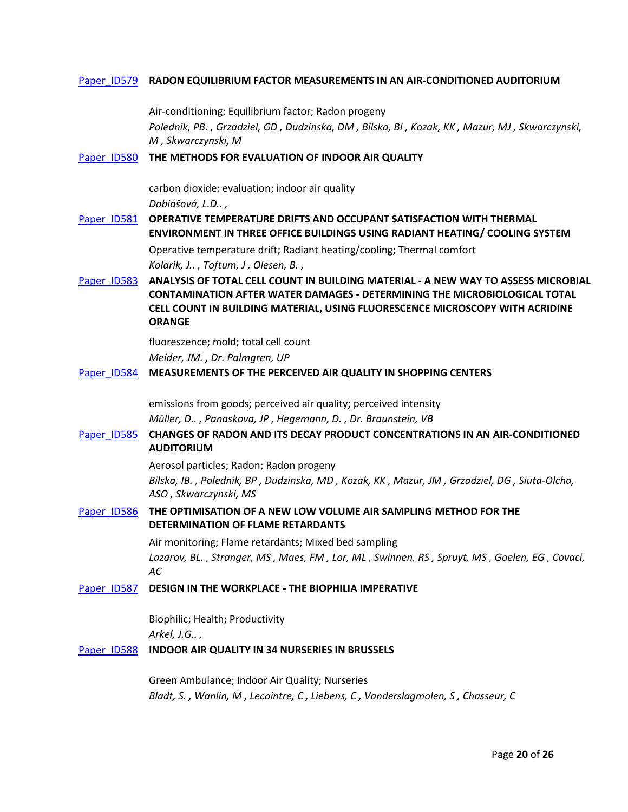

#### Paper\_ID579 **RADON EQUILIBRIUM FACTOR MEASUREMENTS IN AN AIR-CONDITIONED AUDITORIUM**

Air-conditioning; Equilibrium factor; Radon progeny *Polednik, PB. , Grzadziel, GD , Dudzinska, DM , Bilska, BI , Kozak, KK , Mazur, MJ , Skwarczynski, M , Skwarczynski, M*  Paper\_ID580 **THE METHODS FOR EVALUATION OF INDOOR AIR QUALITY** carbon dioxide; evaluation; indoor air quality *Dobiášová, L.D.. ,*  Paper\_ID581 **OPERATIVE TEMPERATURE DRIFTS AND OCCUPANT SATISFACTION WITH THERMAL ENVIRONMENT IN THREE OFFICE BUILDINGS USING RADIANT HEATING/ COOLING SYSTEM** Operative temperature drift; Radiant heating/cooling; Thermal comfort *Kolarik, J.. , Toftum, J , Olesen, B. ,*  Paper\_ID583 **ANALYSIS OF TOTAL CELL COUNT IN BUILDING MATERIAL - A NEW WAY TO ASSESS MICROBIAL CONTAMINATION AFTER WATER DAMAGES - DETERMINING THE MICROBIOLOGICAL TOTAL CELL COUNT IN BUILDING MATERIAL, USING FLUORESCENCE MICROSCOPY WITH ACRIDINE ORANGE** fluoreszence; mold; total cell count *Meider, JM. , Dr. Palmgren, UP*  Paper\_ID584 **MEASUREMENTS OF THE PERCEIVED AIR QUALITY IN SHOPPING CENTERS** emissions from goods; perceived air quality; perceived intensity *Müller, D.. , Panaskova, JP , Hegemann, D. , Dr. Braunstein, VB*  Paper\_ID585 **CHANGES OF RADON AND ITS DECAY PRODUCT CONCENTRATIONS IN AN AIR-CONDITIONED AUDITORIUM** Aerosol particles; Radon; Radon progeny *Bilska, IB. , Polednik, BP , Dudzinska, MD , Kozak, KK , Mazur, JM , Grzadziel, DG , Siuta-Olcha, ASO , Skwarczynski, MS*  Paper\_ID586 **THE OPTIMISATION OF A NEW LOW VOLUME AIR SAMPLING METHOD FOR THE DETERMINATION OF FLAME RETARDANTS** Air monitoring; Flame retardants; Mixed bed sampling *Lazarov, BL. , Stranger, MS , Maes, FM , Lor, ML , Swinnen, RS , Spruyt, MS , Goelen, EG , Covaci, AC*  Paper\_ID587 **DESIGN IN THE WORKPLACE - THE BIOPHILIA IMPERATIVE** Biophilic; Health; Productivity *Arkel, J.G.. ,*  Paper\_ID588 **INDOOR AIR QUALITY IN 34 NURSERIES IN BRUSSELS** Green Ambulance; Indoor Air Quality; Nurseries *Bladt, S. , Wanlin, M , Lecointre, C , Liebens, C , Vanderslagmolen, S , Chasseur, C*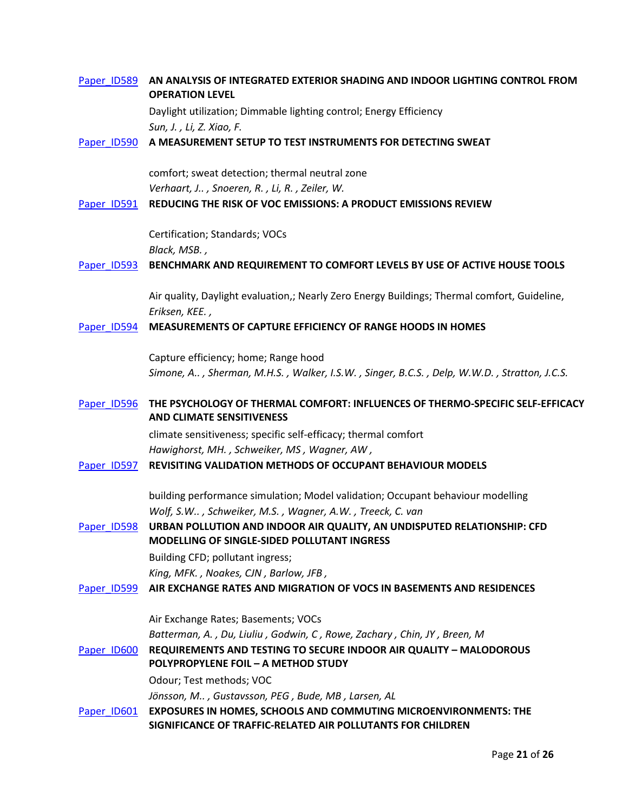

| Paper ID589 | AN ANALYSIS OF INTEGRATED EXTERIOR SHADING AND INDOOR LIGHTING CONTROL FROM<br><b>OPERATION LEVEL</b>                                  |
|-------------|----------------------------------------------------------------------------------------------------------------------------------------|
|             | Daylight utilization; Dimmable lighting control; Energy Efficiency                                                                     |
|             | Sun, J., Li, Z. Xiao, F.                                                                                                               |
| Paper ID590 | A MEASUREMENT SETUP TO TEST INSTRUMENTS FOR DETECTING SWEAT                                                                            |
|             | comfort; sweat detection; thermal neutral zone                                                                                         |
|             | Verhaart, J, Snoeren, R., Li, R., Zeiler, W.                                                                                           |
| Paper ID591 | <b>REDUCING THE RISK OF VOC EMISSIONS: A PRODUCT EMISSIONS REVIEW</b>                                                                  |
|             | Certification; Standards; VOCs                                                                                                         |
|             | Black, MSB.,                                                                                                                           |
| Paper ID593 | BENCHMARK AND REQUIREMENT TO COMFORT LEVELS BY USE OF ACTIVE HOUSE TOOLS                                                               |
|             | Air quality, Daylight evaluation,; Nearly Zero Energy Buildings; Thermal comfort, Guideline,<br>Eriksen, KEE.,                         |
| Paper ID594 | <b>MEASUREMENTS OF CAPTURE EFFICIENCY OF RANGE HOODS IN HOMES</b>                                                                      |
|             | Capture efficiency; home; Range hood                                                                                                   |
|             | Simone, A, Sherman, M.H.S., Walker, I.S.W., Singer, B.C.S., Delp, W.W.D., Stratton, J.C.S.                                             |
| Paper ID596 | THE PSYCHOLOGY OF THERMAL COMFORT: INFLUENCES OF THERMO-SPECIFIC SELF-EFFICACY<br><b>AND CLIMATE SENSITIVENESS</b>                     |
|             | climate sensitiveness; specific self-efficacy; thermal comfort                                                                         |
|             | Hawighorst, MH., Schweiker, MS, Wagner, AW,                                                                                            |
| Paper ID597 | <b>REVISITING VALIDATION METHODS OF OCCUPANT BEHAVIOUR MODELS</b>                                                                      |
|             | building performance simulation; Model validation; Occupant behaviour modelling                                                        |
|             | Wolf, S.W, Schweiker, M.S., Wagner, A.W., Treeck, C. van                                                                               |
| Paper ID598 | URBAN POLLUTION AND INDOOR AIR QUALITY, AN UNDISPUTED RELATIONSHIP: CFD<br>MODELLING OF SINGLE-SIDED POLLUTANT INGRESS                 |
|             | Building CFD; pollutant ingress;                                                                                                       |
|             | King, MFK., Noakes, CJN, Barlow, JFB,                                                                                                  |
| Paper ID599 | AIR EXCHANGE RATES AND MIGRATION OF VOCS IN BASEMENTS AND RESIDENCES                                                                   |
|             | Air Exchange Rates; Basements; VOCs                                                                                                    |
|             | Batterman, A., Du, Liuliu, Godwin, C, Rowe, Zachary, Chin, JY, Breen, M                                                                |
| Paper ID600 | <b>REQUIREMENTS AND TESTING TO SECURE INDOOR AIR QUALITY - MALODOROUS</b><br><b>POLYPROPYLENE FOIL - A METHOD STUDY</b>                |
|             | Odour; Test methods; VOC                                                                                                               |
|             | Jönsson, M, Gustavsson, PEG, Bude, MB, Larsen, AL                                                                                      |
| Paper ID601 | <b>EXPOSURES IN HOMES, SCHOOLS AND COMMUTING MICROENVIRONMENTS: THE</b><br>SIGNIFICANCE OF TRAFFIC-RELATED AIR POLLUTANTS FOR CHILDREN |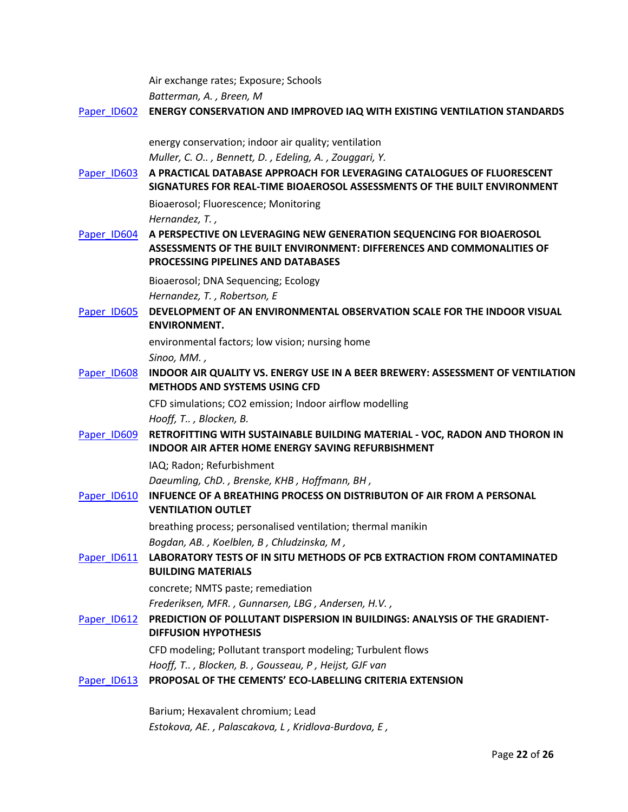**CONFERENCE** *PROCEEDINGS*



HEALTHY BUILDINGS FUROPE 2015 18-20 May 2015 Eindhoven, The Netherlands

*Estokova, AE. , Palascakova, L , Kridlova-Burdova, E ,*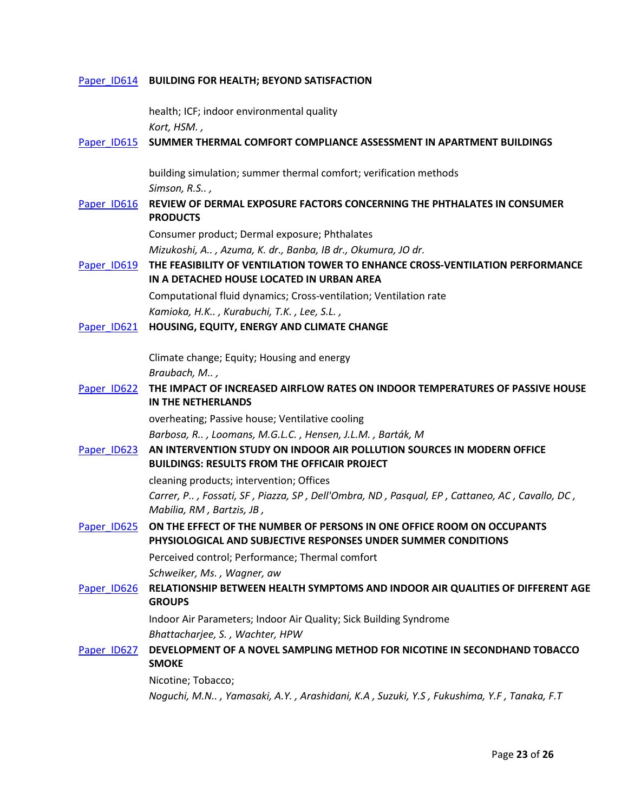

# Paper\_ID614 **BUILDING FOR HEALTH; BEYOND SATISFACTION** health; ICF; indoor environmental quality *Kort, HSM. ,*  Paper\_ID615 SUMMER THERMAL COMFORT COMPLIANCE ASSESSMENT IN APARTMENT BUILDINGS building simulation; summer thermal comfort; verification methods *Simson, R.S.. ,*  Paper\_ID616 **REVIEW OF DERMAL EXPOSURE FACTORS CONCERNING THE PHTHALATES IN CONSUMER PRODUCTS**  Consumer product; Dermal exposure; Phthalates *Mizukoshi, A.. , Azuma, K. dr., Banba, IB dr., Okumura, JO dr.* Paper\_ID619 **THE FEASIBILITY OF VENTILATION TOWER TO ENHANCE CROSS-VENTILATION PERFORMANCE IN A DETACHED HOUSE LOCATED IN URBAN AREA** Computational fluid dynamics; Cross-ventilation; Ventilation rate *Kamioka, H.K.. , Kurabuchi, T.K. , Lee, S.L. ,*  Paper\_ID621 **HOUSING, EQUITY, ENERGY AND CLIMATE CHANGE** Climate change; Equity; Housing and energy *Braubach, M.. ,*  Paper\_ID622 **THE IMPACT OF INCREASED AIRFLOW RATES ON INDOOR TEMPERATURES OF PASSIVE HOUSE IN THE NETHERLANDS** overheating; Passive house; Ventilative cooling *Barbosa, R.. , Loomans, M.G.L.C. , Hensen, J.L.M. , Barták, M*  Paper\_ID623 **AN INTERVENTION STUDY ON INDOOR AIR POLLUTION SOURCES IN MODERN OFFICE BUILDINGS: RESULTS FROM THE OFFICAIR PROJECT** cleaning products; intervention; Offices *Carrer, P.. , Fossati, SF , Piazza, SP , Dell'Ombra, ND , Pasqual, EP , Cattaneo, AC , Cavallo, DC , Mabilia, RM , Bartzis, JB ,*  Paper\_ID625 **ON THE EFFECT OF THE NUMBER OF PERSONS IN ONE OFFICE ROOM ON OCCUPANTS PHYSIOLOGICAL AND SUBJECTIVE RESPONSES UNDER SUMMER CONDITIONS** Perceived control; Performance; Thermal comfort *Schweiker, Ms. , Wagner, aw*  Paper\_ID626 **RELATIONSHIP BETWEEN HEALTH SYMPTOMS AND INDOOR AIR QUALITIES OF DIFFERENT AGE GROUPS** Indoor Air Parameters; Indoor Air Quality; Sick Building Syndrome *Bhattacharjee, S. , Wachter, HPW*  Paper\_ID627 **DEVELOPMENT OF A NOVEL SAMPLING METHOD FOR NICOTINE IN SECONDHAND TOBACCO SMOKE** Nicotine; Tobacco; *Noguchi, M.N.. , Yamasaki, A.Y. , Arashidani, K.A , Suzuki, Y.S , Fukushima, Y.F , Tanaka, F.T*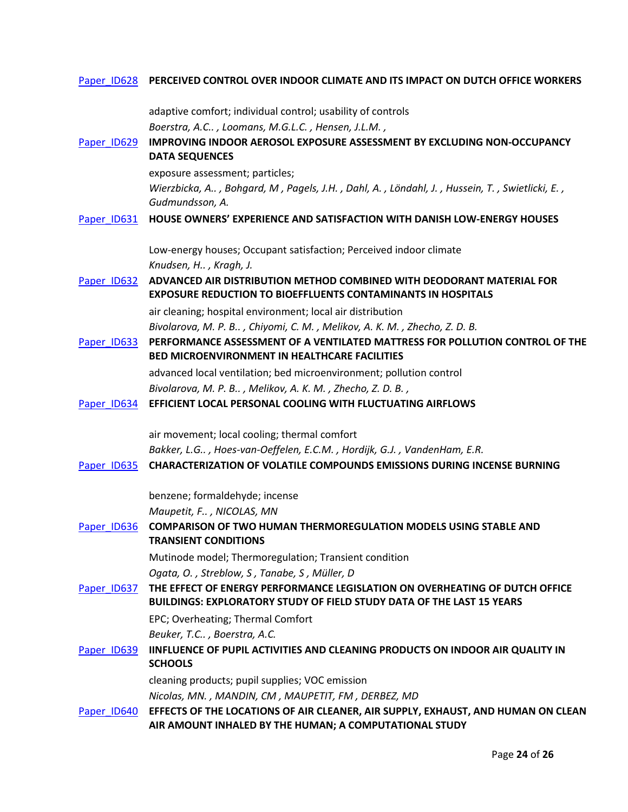

## Paper\_ID628 **PERCEIVED CONTROL OVER INDOOR CLIMATE AND ITS IMPACT ON DUTCH OFFICE WORKERS**

| Paper ID629 | adaptive comfort; individual control; usability of controls<br>Boerstra, A.C, Loomans, M.G.L.C., Hensen, J.L.M.,<br><b>IMPROVING INDOOR AEROSOL EXPOSURE ASSESSMENT BY EXCLUDING NON-OCCUPANCY</b><br><b>DATA SEQUENCES</b> |
|-------------|-----------------------------------------------------------------------------------------------------------------------------------------------------------------------------------------------------------------------------|
|             | exposure assessment; particles;<br>Wierzbicka, A, Bohgard, M, Pagels, J.H., Dahl, A., Löndahl, J., Hussein, T., Swietlicki, E.,<br>Gudmundsson, A.                                                                          |
| Paper ID631 | HOUSE OWNERS' EXPERIENCE AND SATISFACTION WITH DANISH LOW-ENERGY HOUSES                                                                                                                                                     |
|             | Low-energy houses; Occupant satisfaction; Perceived indoor climate<br>Knudsen, H, Kragh, J.                                                                                                                                 |
| Paper ID632 | ADVANCED AIR DISTRIBUTION METHOD COMBINED WITH DEODORANT MATERIAL FOR<br><b>EXPOSURE REDUCTION TO BIOEFFLUENTS CONTAMINANTS IN HOSPITALS</b>                                                                                |
|             | air cleaning; hospital environment; local air distribution                                                                                                                                                                  |
| Paper ID633 | Bivolarova, M. P. B, Chiyomi, C. M., Melikov, A. K. M., Zhecho, Z. D. B.<br>PERFORMANCE ASSESSMENT OF A VENTILATED MATTRESS FOR POLLUTION CONTROL OF THE<br><b>BED MICROENVIRONMENT IN HEALTHCARE FACILITIES</b>            |
|             | advanced local ventilation; bed microenvironment; pollution control                                                                                                                                                         |
|             | Bivolarova, M. P. B, Melikov, A. K. M., Zhecho, Z. D. B.,                                                                                                                                                                   |
| Paper ID634 | EFFICIENT LOCAL PERSONAL COOLING WITH FLUCTUATING AIRFLOWS                                                                                                                                                                  |
|             | air movement; local cooling; thermal comfort                                                                                                                                                                                |
|             | Bakker, L.G, Hoes-van-Oeffelen, E.C.M., Hordijk, G.J., VandenHam, E.R.                                                                                                                                                      |
| Paper ID635 | <b>CHARACTERIZATION OF VOLATILE COMPOUNDS EMISSIONS DURING INCENSE BURNING</b>                                                                                                                                              |
|             | benzene; formaldehyde; incense                                                                                                                                                                                              |
|             | Maupetit, F, NICOLAS, MN                                                                                                                                                                                                    |
| Paper ID636 | <b>COMPARISON OF TWO HUMAN THERMOREGULATION MODELS USING STABLE AND</b><br><b>TRANSIENT CONDITIONS</b>                                                                                                                      |
|             | Mutinode model; Thermoregulation; Transient condition                                                                                                                                                                       |
|             | Ogata, O., Streblow, S, Tanabe, S, Müller, D                                                                                                                                                                                |
| Paper ID637 | THE EFFECT OF ENERGY PERFORMANCE LEGISLATION ON OVERHEATING OF DUTCH OFFICE<br><b>BUILDINGS: EXPLORATORY STUDY OF FIELD STUDY DATA OF THE LAST 15 YEARS</b>                                                                 |
|             | EPC; Overheating; Thermal Comfort                                                                                                                                                                                           |
|             | Beuker, T.C, Boerstra, A.C.                                                                                                                                                                                                 |
| Paper ID639 | IINFLUENCE OF PUPIL ACTIVITIES AND CLEANING PRODUCTS ON INDOOR AIR QUALITY IN<br><b>SCHOOLS</b>                                                                                                                             |
|             | cleaning products; pupil supplies; VOC emission                                                                                                                                                                             |
|             | Nicolas, MN., MANDIN, CM, MAUPETIT, FM, DERBEZ, MD                                                                                                                                                                          |
| Paper ID640 | EFFECTS OF THE LOCATIONS OF AIR CLEANER, AIR SUPPLY, EXHAUST, AND HUMAN ON CLEAN<br>AIR AMOUNT INHALED BY THE HUMAN; A COMPUTATIONAL STUDY                                                                                  |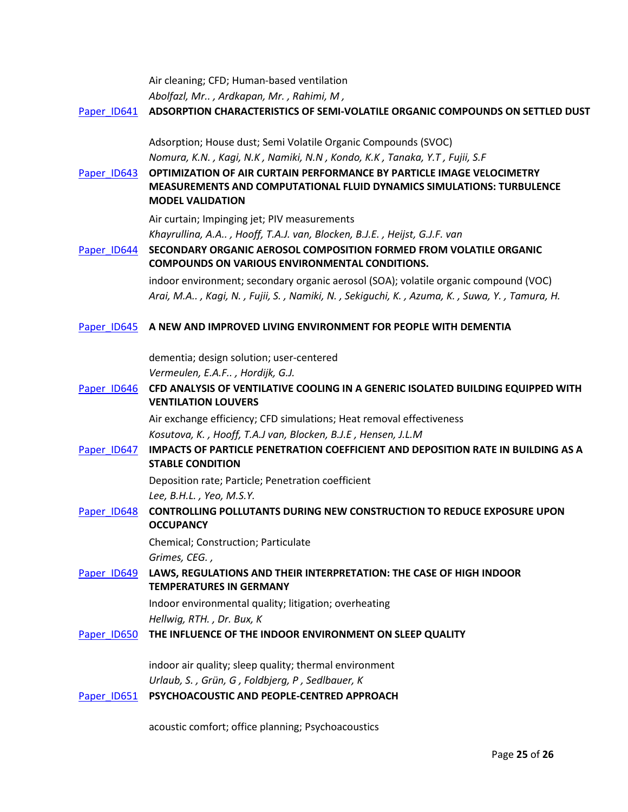

Air cleaning; CFD; Human-based ventilation *Abolfazl, Mr.. , Ardkapan, Mr. , Rahimi, M ,* 

Paper\_ID641 **ADSORPTION CHARACTERISTICS OF SEMI-VOLATILE ORGANIC COMPOUNDS ON SETTLED DUST**

Adsorption; House dust; Semi Volatile Organic Compounds (SVOC) *Nomura, K.N. , Kagi, N.K , Namiki, N.N , Kondo, K.K , Tanaka, Y.T , Fujii, S.F* 

Paper\_ID643 **OPTIMIZATION OF AIR CURTAIN PERFORMANCE BY PARTICLE IMAGE VELOCIMETRY MEASUREMENTS AND COMPUTATIONAL FLUID DYNAMICS SIMULATIONS: TURBULENCE MODEL VALIDATION**

Air curtain; Impinging jet; PIV measurements

*Khayrullina, A.A.. , Hooff, T.A.J. van, Blocken, B.J.E. , Heijst, G.J.F. van*

Paper\_ID644 **SECONDARY ORGANIC AEROSOL COMPOSITION FORMED FROM VOLATILE ORGANIC COMPOUNDS ON VARIOUS ENVIRONMENTAL CONDITIONS.**

indoor environment; secondary organic aerosol (SOA); volatile organic compound (VOC) *Arai, M.A.. , Kagi, N. , Fujii, S. , Namiki, N. , Sekiguchi, K. , Azuma, K. , Suwa, Y. , Tamura, H.* 

### Paper\_ID645 **A NEW AND IMPROVED LIVING ENVIRONMENT FOR PEOPLE WITH DEMENTIA**

dementia; design solution; user-centered *Vermeulen, E.A.F.. , Hordijk, G.J.* 

Paper\_ID646 **CFD ANALYSIS OF VENTILATIVE COOLING IN A GENERIC ISOLATED BUILDING EQUIPPED WITH VENTILATION LOUVERS**

> Air exchange efficiency; CFD simulations; Heat removal effectiveness *Kosutova, K. , Hooff, T.A.J van, Blocken, B.J.E , Hensen, J.L.M*

Paper\_ID647 **IMPACTS OF PARTICLE PENETRATION COEFFICIENT AND DEPOSITION RATE IN BUILDING AS A STABLE CONDITION**

> Deposition rate; Particle; Penetration coefficient *Lee, B.H.L. , Yeo, M.S.Y.*

Paper\_ID648 **CONTROLLING POLLUTANTS DURING NEW CONSTRUCTION TO REDUCE EXPOSURE UPON OCCUPANCY**

Chemical; Construction; Particulate

*Grimes, CEG. ,* 

Paper\_ID649 **LAWS, REGULATIONS AND THEIR INTERPRETATION: THE CASE OF HIGH INDOOR TEMPERATURES IN GERMANY**

> Indoor environmental quality; litigation; overheating *Hellwig, RTH. , Dr. Bux, K*

Paper\_ID650 **THE INFLUENCE OF THE INDOOR ENVIRONMENT ON SLEEP QUALITY**

indoor air quality; sleep quality; thermal environment *Urlaub, S. , Grün, G , Foldbjerg, P , Sedlbauer, K* 

### Paper\_ID651 **PSYCHOACOUSTIC AND PEOPLE-CENTRED APPROACH**

acoustic comfort; office planning; Psychoacoustics